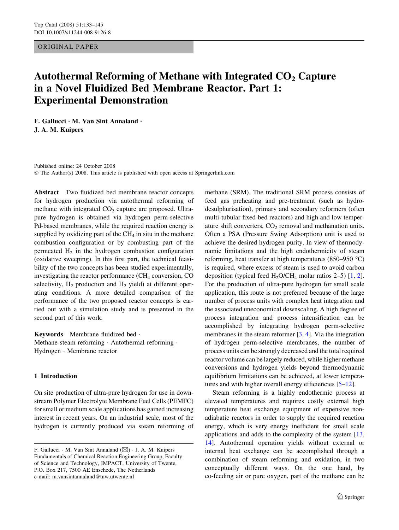## ORIGINAL PAPER

# Autothermal Reforming of Methane with Integrated  $CO<sub>2</sub>$  Capture in a Novel Fluidized Bed Membrane Reactor. Part 1: Experimental Demonstration

F. Gallucci  $\cdot$  M. Van Sint Annaland  $\cdot$ J. A. M. Kuipers

Published online: 24 October 2008  $\odot$  The Author(s) 2008. This article is published with open access at Springerlink.com

Abstract Two fluidized bed membrane reactor concepts for hydrogen production via autothermal reforming of methane with integrated  $CO<sub>2</sub>$  capture are proposed. Ultrapure hydrogen is obtained via hydrogen perm-selective Pd-based membranes, while the required reaction energy is supplied by oxidizing part of the  $CH<sub>4</sub>$  in situ in the methane combustion configuration or by combusting part of the permeated  $H_2$  in the hydrogen combustion configuration (oxidative sweeping). In this first part, the technical feasibility of the two concepts has been studied experimentally, investigating the reactor performance  $(CH_4$  conversion, CO selectivity,  $H_2$  production and  $H_2$  yield) at different operating conditions. A more detailed comparison of the performance of the two proposed reactor concepts is carried out with a simulation study and is presented in the second part of this work.

Keywords Membrane fluidized bed . Methane steam reforming  $\cdot$  Autothermal reforming  $\cdot$ Hydrogen · Membrane reactor

## 1 Introduction

On site production of ultra-pure hydrogen for use in downstream Polymer Electrolyte Membrane Fuel Cells (PEMFC) for small or medium scale applications has gained increasing interest in recent years. On an industrial scale, most of the hydrogen is currently produced via steam reforming of methane (SRM). The traditional SRM process consists of feed gas preheating and pre-treatment (such as hydrodesulphurisation), primary and secondary reformers (often multi-tubular fixed-bed reactors) and high and low temperature shift converters,  $CO<sub>2</sub>$  removal and methanation units. Often a PSA (Pressure Swing Adsorption) unit is used to achieve the desired hydrogen purity. In view of thermodynamic limitations and the high endothermicity of steam reforming, heat transfer at high temperatures (850–950  $^{\circ}$ C) is required, where excess of steam is used to avoid carbon deposition (typical feed  $H_2O/CH_4$  $H_2O/CH_4$  $H_2O/CH_4$  molar ratios 2–5) [[1,](#page-11-0) 2]. For the production of ultra-pure hydrogen for small scale application, this route is not preferred because of the large number of process units with complex heat integration and the associated uneconomical downscaling. A high degree of process integration and process intensification can be accomplished by integrating hydrogen perm-selective membranes in the steam reformer [\[3](#page-11-0), [4](#page-11-0)]. Via the integration of hydrogen perm-selective membranes, the number of process units can be strongly decreased and the total required reactor volume can be largely reduced, while higher methane conversions and hydrogen yields beyond thermodynamic equilibrium limitations can be achieved, at lower temperatures and with higher overall energy efficiencies [[5–12\]](#page-11-0).

Steam reforming is a highly endothermic process at elevated temperatures and requires costly external high temperature heat exchange equipment of expensive nonadiabatic reactors in order to supply the required reaction energy, which is very energy inefficient for small scale applications and adds to the complexity of the system [[13,](#page-11-0) [14](#page-11-0)]. Autothermal operation yields without external or internal heat exchange can be accomplished through a combination of steam reforming and oxidation, in two conceptually different ways. On the one hand, by co-feeding air or pure oxygen, part of the methane can be

F. Gallucci  $\cdot$  M. Van Sint Annaland ( $\boxtimes$ )  $\cdot$  J. A. M. Kuipers Fundamentals of Chemical Reaction Engineering Group, Faculty of Science and Technology, IMPACT, University of Twente, P.O. Box 217, 7500 AE Enschede, The Netherlands e-mail: m.vansintannaland@tnw.utwente.nl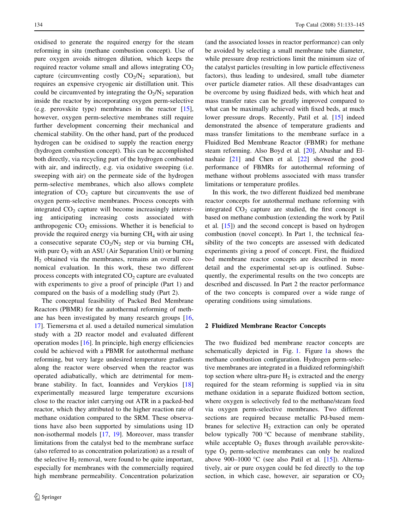oxidised to generate the required energy for the steam reforming in situ (methane combustion concept). Use of pure oxygen avoids nitrogen dilution, which keeps the required reactor volume small and allows integrating  $CO<sub>2</sub>$ capture (circumventing costly  $CO<sub>2</sub>/N<sub>2</sub>$  separation), but requires an expensive cryogenic air distillation unit. This could be circumvented by integrating the  $O_2/N_2$  separation inside the reactor by incorporating oxygen perm-selective (e.g. perovskite type) membranes in the reactor [\[15](#page-11-0)], however, oxygen perm-selective membranes still require further development concerning their mechanical and chemical stability. On the other hand, part of the produced hydrogen can be oxidised to supply the reaction energy (hydrogen combustion concept). This can be accomplished both directly, via recycling part of the hydrogen combusted with air, and indirectly, e.g. via oxidative sweeping (i.e. sweeping with air) on the permeate side of the hydrogen perm-selective membranes, which also allows complete integration of  $CO<sub>2</sub>$  capture but circumvents the use of oxygen perm-selective membranes. Process concepts with integrated  $CO<sub>2</sub>$  capture will become increasingly interesting anticipating increasing costs associated with anthropogenic  $CO<sub>2</sub>$  emissions. Whether it is beneficial to provide the required energy via burning  $CH<sub>4</sub>$  with air using a consecutive separate  $CO<sub>2</sub>/N<sub>2</sub>$  step or via burning  $CH<sub>4</sub>$ with pure  $O_2$  with an ASU (Air Separation Unit) or burning  $H<sub>2</sub>$  obtained via the membranes, remains an overall economical evaluation. In this work, these two different process concepts with integrated  $CO<sub>2</sub>$  capture are evaluated with experiments to give a proof of principle (Part 1) and compared on the basis of a modelling study (Part 2).

The conceptual feasibility of Packed Bed Membrane Reactors (PBMR) for the autothermal reforming of methane has been investigated by many research groups [[16,](#page-11-0) [17](#page-11-0)]. Tiemersma et al. used a detailed numerical simulation study with a 2D reactor model and evaluated different operation modes [\[16](#page-11-0)]. In principle, high energy efficiencies could be achieved with a PBMR for autothermal methane reforming, but very large undesired temperature gradients along the reactor were observed when the reactor was operated adiabatically, which are detrimental for membrane stability. In fact, Ioannides and Verykios [[18\]](#page-12-0) experimentally measured large temperature excursions close to the reactor inlet carrying out ATR in a packed-bed reactor, which they attributed to the higher reaction rate of methane oxidation compared to the SRM. These observations have also been supported by simulations using 1D non-isothermal models [\[17](#page-11-0), [19\]](#page-12-0). Moreover, mass transfer limitations from the catalyst bed to the membrane surface (also referred to as concentration polarization) as a result of the selective  $H_2$  removal, were found to be quite important, especially for membranes with the commercially required high membrane permeability. Concentration polarization (and the associated losses in reactor performance) can only be avoided by selecting a small membrane tube diameter, while pressure drop restrictions limit the minimum size of the catalyst particles (resulting in low particle effectiveness factors), thus leading to undesired, small tube diameter over particle diameter ratios. All these disadvantages can be overcome by using fluidized beds, with which heat and mass transfer rates can be greatly improved compared to what can be maximally achieved with fixed beds, at much lower pressure drops. Recently, Patil et al. [\[15](#page-11-0)] indeed demonstrated the absence of temperature gradients and mass transfer limitations to the membrane surface in a Fluidized Bed Membrane Reactor (FBMR) for methane steam reforming. Also Boyd et al. [[20\]](#page-12-0), Abashar and Elnashaie [\[21](#page-12-0)] and Chen et al. [\[22](#page-12-0)] showed the good performance of FBMRs for autothermal reforming of methane without problems associated with mass transfer limitations or temperature profiles.

In this work, the two different fluidized bed membrane reactor concepts for autothermal methane reforming with integrated  $CO<sub>2</sub>$  capture are studied, the first concept is based on methane combustion (extending the work by Patil et al. [\[15](#page-11-0)]) and the second concept is based on hydrogen combustion (novel concept). In Part 1, the technical feasibility of the two concepts are assessed with dedicated experiments giving a proof of concept. First, the fluidized bed membrane reactor concepts are described in more detail and the experimental set-up is outlined. Subsequently, the experimental results on the two concepts are described and discussed. In Part 2 the reactor performance of the two concepts is compared over a wide range of operating conditions using simulations.

#### 2 Fluidized Membrane Reactor Concepts

The two fluidized bed membrane reactor concepts are schematically depicted in Fig. [1.](#page-2-0) Figure [1a](#page-2-0) shows the methane combustion configuration. Hydrogen perm-selective membranes are integrated in a fluidized reforming/shift top section where ultra-pure  $H_2$  is extracted and the energy required for the steam reforming is supplied via in situ methane oxidation in a separate fluidized bottom section, where oxygen is selectively fed to the methane/steam feed via oxygen perm-selective membranes. Two different sections are required because metallic Pd-based membranes for selective  $H_2$  extraction can only be operated below typically 700  $\degree$ C because of membrane stability, while acceptable  $O_2$  fluxes through available perovskitetype  $O_2$  perm-selective membranes can only be realized above 900–1000 °C (see also Patil et al.  $[15]$  $[15]$ ). Alternatively, air or pure oxygen could be fed directly to the top section, in which case, however, air separation or  $CO<sub>2</sub>$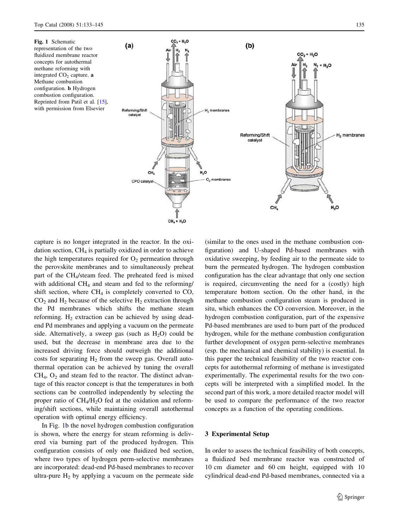<span id="page-2-0"></span>Fig. 1 Schematic representation of the two fluidized membrane reactor concepts for autothermal methane reforming with integrated  $CO<sub>2</sub>$  capture. **a** Methane combustion configuration. b Hydrogen combustion configuration. Reprinted from Patil et al. [\[15\]](#page-11-0), with permission from Elsevier



capture is no longer integrated in the reactor. In the oxidation section,  $CH<sub>4</sub>$  is partially oxidized in order to achieve

the high temperatures required for  $O<sub>2</sub>$  permeation through the perovskite membranes and to simultaneously preheat part of the CH4/steam feed. The preheated feed is mixed with additional  $CH<sub>4</sub>$  and steam and fed to the reforming/ shift section, where  $CH_4$  is completely converted to CO,  $CO<sub>2</sub>$  and H<sub>2</sub> because of the selective H<sub>2</sub> extraction through the Pd membranes which shifts the methane steam reforming.  $H_2$  extraction can be achieved by using deadend Pd membranes and applying a vacuum on the permeate side. Alternatively, a sweep gas (such as  $H_2O$ ) could be used, but the decrease in membrane area due to the increased driving force should outweigh the additional costs for separating  $H_2$  from the sweep gas. Overall autothermal operation can be achieved by tuning the overall  $CH<sub>4</sub>, O<sub>2</sub>$  and steam fed to the reactor. The distinct advantage of this reactor concept is that the temperatures in both sections can be controlled independently by selecting the proper ratio of  $CH<sub>4</sub>/H<sub>2</sub>O$  fed at the oxidation and reforming/shift sections, while maintaining overall autothermal operation with optimal energy efficiency.

In Fig. 1b the novel hydrogen combustion configuration is shown, where the energy for steam reforming is delivered via burning part of the produced hydrogen. This configuration consists of only one fluidized bed section, where two types of hydrogen perm-selective membranes are incorporated: dead-end Pd-based membranes to recover ultra-pure  $H_2$  by applying a vacuum on the permeate side (similar to the ones used in the methane combustion configuration) and U-shaped Pd-based membranes with oxidative sweeping, by feeding air to the permeate side to burn the permeated hydrogen. The hydrogen combustion configuration has the clear advantage that only one section is required, circumventing the need for a (costly) high temperature bottom section. On the other hand, in the methane combustion configuration steam is produced in situ, which enhances the CO conversion. Moreover, in the hydrogen combustion configuration, part of the expensive Pd-based membranes are used to burn part of the produced hydrogen, while for the methane combustion configuration further development of oxygen perm-selective membranes (esp. the mechanical and chemical stability) is essential. In this paper the technical feasibility of the two reactor concepts for autothermal reforming of methane is investigated experimentally. The experimental results for the two concepts will be interpreted with a simplified model. In the second part of this work, a more detailed reactor model will be used to compare the performance of the two reactor concepts as a function of the operating conditions.

### 3 Experimental Setup

In order to assess the technical feasibility of both concepts, a fluidized bed membrane reactor was constructed of 10 cm diameter and 60 cm height, equipped with 10 cylindrical dead-end Pd-based membranes, connected via a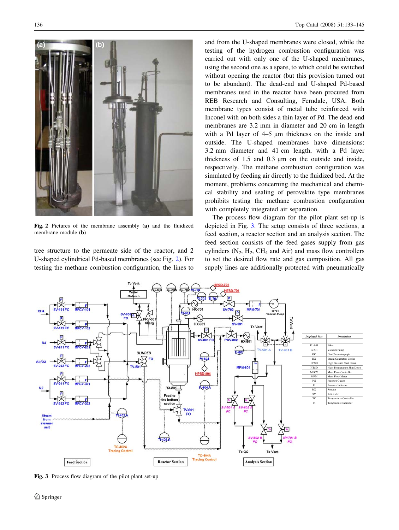

Fig. 2 Pictures of the membrane assembly (a) and the fluidized membrane module (b)

tree structure to the permeate side of the reactor, and 2 U-shaped cylindrical Pd-based membranes (see Fig. 2). For testing the methane combustion configuration, the lines to

and from the U-shaped membranes were closed, while the testing of the hydrogen combustion configuration was carried out with only one of the U-shaped membranes, using the second one as a spare, to which could be switched without opening the reactor (but this provision turned out to be abundant). The dead-end and U-shaped Pd-based membranes used in the reactor have been procured from REB Research and Consulting, Ferndale, USA. Both membrane types consist of metal tube reinforced with Inconel with on both sides a thin layer of Pd. The dead-end membranes are 3.2 mm in diameter and 20 cm in length with a Pd layer of  $4-5 \mu m$  thickness on the inside and outside. The U-shaped membranes have dimensions: 3.2 mm diameter and 41 cm length, with a Pd layer thickness of  $1.5$  and  $0.3 \mu m$  on the outside and inside. respectively. The methane combustion configuration was simulated by feeding air directly to the fluidized bed. At the moment, problems concerning the mechanical and chemical stability and sealing of perovskite type membranes prohibits testing the methane combustion configuration with completely integrated air separation.

The process flow diagram for the pilot plant set-up is depicted in Fig. 3. The setup consists of three sections, a feed section, a reactor section and an analysis section. The feed section consists of the feed gases supply from gas cylinders  $(N_2, H_2, CH_4$  and Air) and mass flow controllers to set the desired flow rate and gas composition. All gas supply lines are additionally protected with pneumatically



Fig. 3 Process flow diagram of the pilot plant set-up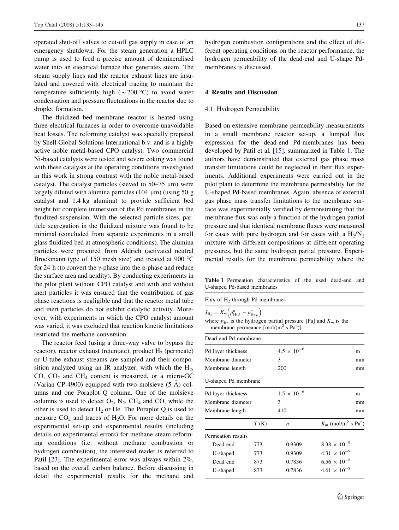<span id="page-4-0"></span>operated shut-off valves to cut-off gas supply in case of an emergency shutdown. For the steam generation a HPLC pump is used to feed a precise amount of demineralised water into an electrical furnace that generates steam. The steam supply lines and the reactor exhaust lines are insulated and covered with electrical tracing to maintain the temperature sufficiently high ( $\sim$  200 °C) to avoid water condensation and pressure fluctuations in the reactor due to droplet formation.

The fluidized bed membrane reactor is heated using three electrical furnaces in order to overcome unavoidable heat losses. The reforming catalyst was specially prepared by Shell Global Solutions International b.v. and is a highly active noble metal-based CPO catalyst. Two commercial Ni-based catalysts were tested and severe coking was found with these catalysts at the operating conditions investigated in this work in strong contrast with the noble metal-based catalyst. The catalyst particles (sieved to  $50-75 \text{ }\mu\text{m}$ ) were largely diluted with alumina particles  $(104 \mu m)$  (using 50 g catalyst and 1.4 kg alumina) to provide sufficient bed height for complete immersion of the Pd membranes in the fluidized suspension. With the selected particle sizes, particle segregation in the fluidized mixture was found to be minimal (concluded from separate experiments in a small glass fluidized bed at atmospheric conditions). The alumina particles were procured from Aldrich (activated neutral Brockmann type of 150 mesh size) and treated at 900  $^{\circ}$ C for 24 h (to convert the  $\gamma$ -phase into the  $\alpha$ -phase and reduce the surface area and acidity). By conducting experiments in the pilot plant without CPO catalyst and with and without inert particles it was ensured that the contribution of gas phase reactions is negligible and that the reactor metal tube and inert particles do not exhibit catalytic activity. Moreover, with experiments in which the CPO catalyst amount was varied, it was excluded that reaction kinetic limitations restricted the methane conversion.

The reactor feed (using a three-way valve to bypass the reactor), reactor exhaust (retentate), product  $H_2$  (permeate) or U-tube exhaust streams are sampled and their composition analyzed using an IR analyzer, with which the  $H_2$ , CO,  $CO<sub>2</sub>$  and  $CH<sub>4</sub>$  content is measured, or a micro-GC (Varian CP-4900) equipped with two molsieve  $(5 \text{ Å})$  columns and one Poraplot Q column. One of the molsieve columns is used to detect  $O_2$ ,  $N_2$ , CH<sub>4</sub> and CO, while the other is used to detect  $H_2$  or He. The Poraplot Q is used to measure  $CO<sub>2</sub>$  and traces of H<sub>2</sub>O. For more details on the experimental set-up and experimental results (including details on experimental errors) for methane steam reforming conditions (i.e. without methane combustion or hydrogen combustion), the interested reader is referred to Patil [\[23](#page-12-0)]. The experimental error was always within 2%, based on the overall carbon balance. Before discussing in detail the experimental results for the methane and hydrogen combustion configurations and the effect of different operating conditions on the reactor performance, the hydrogen permeability of the dead-end and U-shape Pdmembranes is discussed.

## 4 Results and Discussion

#### 4.1 Hydrogen Permeability

Based on extensive membrane permeability measurements in a small membrane reactor set-up, a lumped flux expression for the dead-end Pd-membranes has been developed by Patil et al. [[15\]](#page-11-0), summarized in Table 1. The authors have demonstrated that external gas phase mass transfer limitations could be neglected in their flux experiments. Additional experiments were carried out in the pilot plant to determine the membrane permeability for the U-shaped Pd-based membranes. Again, absence of external gas phase mass transfer limitations to the membrane surface was experimentally verified by demonstrating that the membrane flux was only a function of the hydrogen partial pressure and that identical membrane fluxes were measured for cases with pure hydrogen and for cases with a  $H_2/N_2$ mixture with different compositions at different operating pressures, but the same hydrogen partial pressure. Experimental results for the membrane permeability where the

Table 1 Permeation characteristics of the used dead-end and U-shaped Pd-based membranes

| Flux of $H_2$ through Pd membranes                                                |
|-----------------------------------------------------------------------------------|
| $J_{{\rm H}_2}=K_m\Big(p_{{\rm H}_2,f}^n-p_{{\rm H}_2,p}^n\Big).$                 |
| where $p_{\text{H}_{2}}$ is the hydrogen partial pressure [Pa] and $K_{m}$ is the |

where  $p_{\text{H}_2}$  is the hydrogen partial pressure [Pa] and  $K_m$  is the membrane permeance [mol/(m<sup>2</sup> s Pa<sup>n</sup>)]

| Dead end Pd membrane |      |                      |                                               |
|----------------------|------|----------------------|-----------------------------------------------|
| Pd layer thickness   |      | $4.5 \times 10^{-6}$ | m                                             |
| Membrane diameter    |      | 3                    | mm                                            |
| Membrane length      |      | 200                  | mm                                            |
| U-shaped Pd membrane |      |                      |                                               |
| Pd layer thickness   |      | $1.5 \times 10^{-6}$ | m                                             |
| Membrane diameter    |      | 3                    | mm                                            |
| Membrane length      |      | 410                  | mm                                            |
|                      | T(K) | n                    | $K_m$ (mol/m <sup>2</sup> s Pa <sup>n</sup> ) |
| Permeation results   |      |                      |                                               |
| Dead end             | 773  | 0.9309               | $8.38 \times 10^{-9}$                         |
| U-shaped             | 773  | 0.9309               | $4.31 \times 10^{-9}$                         |
| Dead end             | 873  | 0.7836               | $6.56 \times 10^{-8}$                         |
| U-shaped             | 873  | 0.7836               | $4.61 \times 10^{-8}$                         |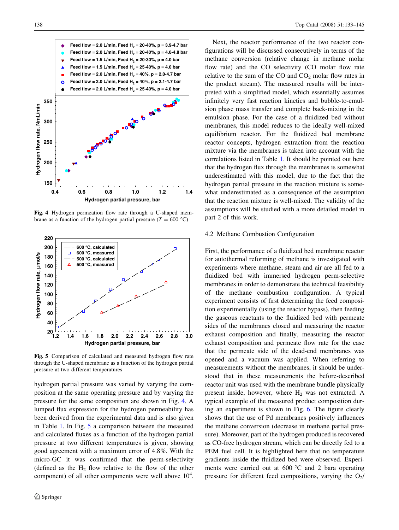

Fig. 4 Hydrogen permeation flow rate through a U-shaped membrane as a function of the hydrogen partial pressure ( $T = 600$  °C)



Fig. 5 Comparison of calculated and measured hydrogen flow rate through the U-shaped membrane as a function of the hydrogen partial pressure at two different temperatures

hydrogen partial pressure was varied by varying the composition at the same operating pressure and by varying the pressure for the same composition are shown in Fig. 4. A lumped flux expression for the hydrogen permeability has been derived from the experimental data and is also given in Table [1.](#page-4-0) In Fig. 5 a comparison between the measured and calculated fluxes as a function of the hydrogen partial pressure at two different temperatures is given, showing good agreement with a maximum error of 4.8%. With the micro-GC it was confirmed that the perm-selectivity (defined as the  $H_2$  flow relative to the flow of the other component) of all other components were well above  $10^4$ .

Next, the reactor performance of the two reactor configurations will be discussed consecutively in terms of the methane conversion (relative change in methane molar flow rate) and the CO selectivity (CO molar flow rate relative to the sum of the CO and  $CO<sub>2</sub>$  molar flow rates in the product stream). The measured results will be interpreted with a simplified model, which essentially assumes infinitely very fast reaction kinetics and bubble-to-emulsion phase mass transfer and complete back-mixing in the emulsion phase. For the case of a fluidized bed without membranes, this model reduces to the ideally well-mixed equilibrium reactor. For the fluidized bed membrane reactor concepts, hydrogen extraction from the reaction mixture via the membranes is taken into account with the correlations listed in Table [1.](#page-4-0) It should be pointed out here that the hydrogen flux through the membranes is somewhat underestimated with this model, due to the fact that the hydrogen partial pressure in the reaction mixture is somewhat underestimated as a consequence of the assumption that the reaction mixture is well-mixed. The validity of the assumptions will be studied with a more detailed model in part 2 of this work.

## 4.2 Methane Combustion Configuration

First, the performance of a fluidized bed membrane reactor for autothermal reforming of methane is investigated with experiments where methane, steam and air are all fed to a fluidized bed with immersed hydrogen perm-selective membranes in order to demonstrate the technical feasibility of the methane combustion configuration. A typical experiment consists of first determining the feed composition experimentally (using the reactor bypass), then feeding the gaseous reactants to the fluidized bed with permeate sides of the membranes closed and measuring the reactor exhaust composition and finally, measuring the reactor exhaust composition and permeate flow rate for the case that the permeate side of the dead-end membranes was opened and a vacuum was applied. When referring to measurements without the membranes, it should be understood that in these measurements the before-described reactor unit was used with the membrane bundle physically present inside, however, where  $H_2$  was not extracted. A typical example of the measured product composition during an experiment is shown in Fig. [6](#page-6-0). The figure clearly shows that the use of Pd membranes positively influences the methane conversion (decrease in methane partial pressure). Moreover, part of the hydrogen produced is recovered as CO-free hydrogen stream, which can be directly fed to a PEM fuel cell. It is highlighted here that no temperature gradients inside the fluidized bed were observed. Experiments were carried out at  $600 °C$  and 2 bara operating pressure for different feed compositions, varying the  $O_2/$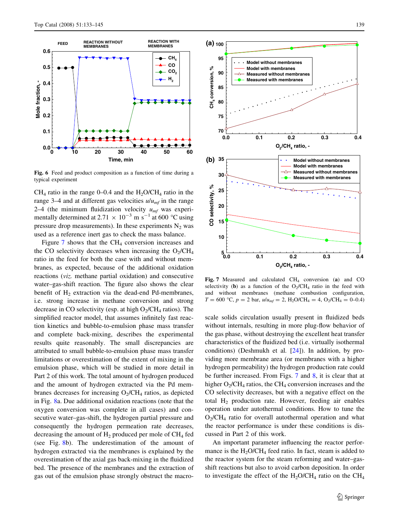<span id="page-6-0"></span>

Fig. 6 Feed and product composition as a function of time during a typical experiment

 $CH<sub>4</sub>$  ratio in the range 0–0.4 and the H<sub>2</sub>O/CH<sub>4</sub> ratio in the range 3–4 and at different gas velocities  $u/u_{mf}$  in the range 2–4 (the minimum fluidization velocity  $u_{mf}$  was experimentally determined at 2.71  $\times$  10<sup>-3</sup> m s<sup>-1</sup> at 600 °C using pressure drop measurements). In these experiments  $N_2$  was used as a reference inert gas to check the mass balance.

Figure  $7$  shows that the CH<sub>4</sub> conversion increases and the CO selectivity decreases when increasing the  $O_2/CH_4$ ratio in the feed for both the case with and without membranes, as expected, because of the additional oxidation reactions (viz. methane partial oxidation) and consecutive water–gas-shift reaction. The figure also shows the clear benefit of  $H_2$  extraction via the dead-end Pd-membranes, i.e. strong increase in methane conversion and strong decrease in CO selectivity (esp. at high  $O_2/CH_4$  ratios). The simplified reactor model, that assumes infinitely fast reaction kinetics and bubble-to-emulsion phase mass transfer and complete back-mixing, describes the experimental results quite reasonably. The small discrepancies are attributed to small bubble-to-emulsion phase mass transfer limitations or overestimation of the extent of mixing in the emulsion phase, which will be studied in more detail in Part 2 of this work. The total amount of hydrogen produced and the amount of hydrogen extracted via the Pd membranes decreases for increasing  $O_2/CH_4$  ratios, as depicted in Fig. [8](#page-7-0)a. Due additional oxidation reactions (note that the oxygen conversion was complete in all cases) and consecutive water–gas-shift, the hydrogen partial pressure and consequently the hydrogen permeation rate decreases, decreasing the amount of  $H_2$  produced per mole of  $CH_4$  fed (see Fig. [8](#page-7-0)b). The underestimation of the amount of hydrogen extracted via the membranes is explained by the overestimation of the axial gas back-mixing in the fluidized bed. The presence of the membranes and the extraction of gas out of the emulsion phase strongly obstruct the macro-



Fig. 7 Measured and calculated  $CH<sub>4</sub>$  conversion (a) and CO selectivity (b) as a function of the  $O_2/CH_4$  ratio in the feed with and without membranes (methane combustion configuration,  $T = 600$  °C,  $p = 2$  bar,  $u/u_{mf} = 2$ , H<sub>2</sub>O/CH<sub>4</sub> = 4, O<sub>2</sub>/CH<sub>4</sub> = 0–0.4)

scale solids circulation usually present in fluidized beds without internals, resulting in more plug-flow behavior of the gas phase, without destroying the excellent heat transfer characteristics of the fluidized bed (i.e. virtually isothermal conditions) (Deshmukh et al. [\[24](#page-12-0)]). In addition, by providing more membrane area (or membranes with a higher hydrogen permeability) the hydrogen production rate could be further increased. From Figs. 7 and [8,](#page-7-0) it is clear that at higher  $O_2$ /CH<sub>4</sub> ratios, the CH<sub>4</sub> conversion increases and the CO selectivity decreases, but with a negative effect on the total  $H_2$  production rate. However, feeding air enables operation under autothermal conditions. How to tune the  $O<sub>2</sub>/CH<sub>4</sub>$  ratio for overall autothermal operation and what the reactor performance is under these conditions is discussed in Part 2 of this work.

An important parameter influencing the reactor performance is the  $H<sub>2</sub>O/CH<sub>4</sub>$  feed ratio. In fact, steam is added to the reactor system for the steam reforming and water–gasshift reactions but also to avoid carbon deposition. In order to investigate the effect of the  $H_2O/CH_4$  ratio on the  $CH_4$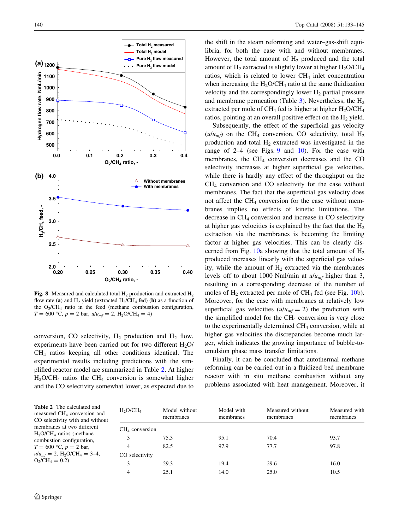<span id="page-7-0"></span>

Fig. 8 Measured and calculated total  $H_2$  production and extracted  $H_2$ flow rate (a) and H<sub>2</sub> yield (extracted H<sub>2</sub>/CH<sub>4</sub> fed) (b) as a function of the  $O_2/CH_4$  ratio in the feed (methane combustion configuration,  $T = 600$  °C,  $p = 2$  bar,  $u/u_{mf} = 2$ , H<sub>2</sub>O/CH<sub>4</sub> = 4)

conversion, CO selectivity,  $H_2$  production and  $H_2$  flow, experiments have been carried out for two different H<sub>2</sub>O/ CH4 ratios keeping all other conditions identical. The experimental results including predictions with the simplified reactor model are summarized in Table 2. At higher  $H_2OCH_4$  ratios the CH<sub>4</sub> conversion is somewhat higher and the CO selectivity somewhat lower, as expected due to

the shift in the steam reforming and water–gas-shift equilibria, for both the case with and without membranes. However, the total amount of  $H_2$  produced and the total amount of  $H_2$  extracted is slightly lower at higher  $H_2O/CH_4$ ratios, which is related to lower CH<sub>4</sub> inlet concentration when increasing the  $H_2O/CH_4$  ratio at the same fluidization velocity and the correspondingly lower  $H_2$  partial pressure and membrane permeation (Table  $3$ ). Nevertheless, the  $H<sub>2</sub>$ extracted per mole of CH<sub>4</sub> fed is higher at higher  $H_2O/CH_4$ ratios, pointing at an overall positive effect on the  $H_2$  yield.

Subsequently, the effect of the superficial gas velocity  $(u/u_{mf})$  on the CH<sub>4</sub> conversion, CO selectivity, total H<sub>2</sub> production and total  $H_2$  extracted was investigated in the range of 2–4 (see Figs. [9](#page-8-0) and [10](#page-8-0)). For the case with membranes, the  $CH<sub>4</sub>$  conversion decreases and the CO selectivity increases at higher superficial gas velocities, while there is hardly any effect of the throughput on the  $CH<sub>4</sub>$  conversion and CO selectivity for the case without membranes. The fact that the superficial gas velocity does not affect the  $CH_4$  conversion for the case without membranes implies no effects of kinetic limitations. The decrease in  $CH<sub>4</sub>$  conversion and increase in CO selectivity at higher gas velocities is explained by the fact that the  $H_2$ extraction via the membranes is becoming the limiting factor at higher gas velocities. This can be clearly dis-cerned from Fig. [10](#page-8-0)a showing that the total amount of  $H_2$ produced increases linearly with the superficial gas velocity, while the amount of  $H_2$  extracted via the membranes levels off to about 1000 Nml/min at  $u/u_{mf}$  higher than 3, resulting in a corresponding decrease of the number of moles of  $H_2$  extracted per mole of  $CH_4$  fed (see Fig. [10](#page-8-0)b). Moreover, for the case with membranes at relatively low superficial gas velocities  $(u/u_{mf} = 2)$  the prediction with the simplified model for the  $CH<sub>4</sub>$  conversion is very close to the experimentally determined  $CH<sub>4</sub>$  conversion, while at higher gas velocities the discrepancies become much larger, which indicates the growing importance of bubble-toemulsion phase mass transfer limitations.

Finally, it can be concluded that autothermal methane reforming can be carried out in a fluidized bed membrane reactor with in situ methane combustion without any problems associated with heat management. Moreover, it

| $H_2O/CH_4$      | Model without<br>membranes | Model with<br>membranes | Measured without<br>membranes | Measured with<br>membranes |
|------------------|----------------------------|-------------------------|-------------------------------|----------------------------|
| $CH4$ conversion |                            |                         |                               |                            |
| 3                | 75.3                       | 95.1                    | 70.4                          | 93.7                       |
| 4                | 82.5                       | 97.9                    | 77.7                          | 97.8                       |
| CO selectivity   |                            |                         |                               |                            |
| 3                | 29.3                       | 19.4                    | 29.6                          | 16.0                       |
| 4                | 25.1                       | 14.0                    | 25.0                          | 10.5                       |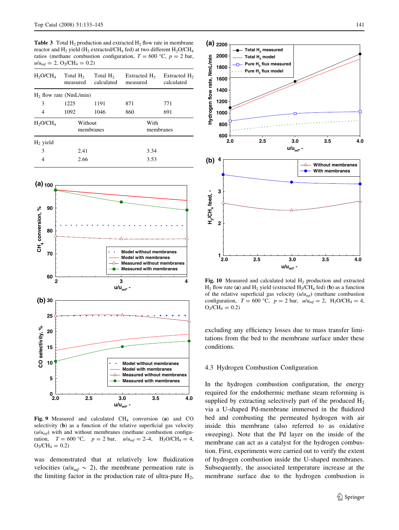<span id="page-8-0"></span>**Table 3** Total  $H_2$  production and extracted  $H_2$  flow rate in membrane reactor and  $H_2$  yield ( $H_2$  extracted/CH<sub>4</sub> fed) at two different  $H_2O/CH_4$ ratios (methane combustion configuration,  $T = 600 \degree C$ ,  $p = 2$  bar,  $u/u_{mf} = 2$ , O<sub>2</sub>/CH<sub>4</sub> = 0.2)

| H <sub>2</sub> O/CH <sub>4</sub> | Total H <sub>2</sub><br>measured | Total $H2$<br>calculated | Extracted H <sub>2</sub><br>measured | Extracted H <sub>2</sub><br>calculated |
|----------------------------------|----------------------------------|--------------------------|--------------------------------------|----------------------------------------|
| $H2$ flow rate (NmL/min)         |                                  |                          |                                      |                                        |
| 3                                | 1225                             | 1191                     | 871                                  | 771                                    |
| 4                                | 1092                             | 1046                     | 860                                  | 691                                    |
| $H_2O/CH_4$                      | Without                          | membranes                |                                      | With<br>membranes                      |
| $H2$ yield                       |                                  |                          |                                      |                                        |
| 3                                | 2.41                             |                          | 3.34                                 |                                        |
| 4                                | 2.66                             |                          | 3.53                                 |                                        |



Fig. 9 Measured and calculated  $CH<sub>4</sub>$  conversion (a) and CO selectivity (b) as a function of the relative superficial gas velocity  $(u/u<sub>mf</sub>)$  with and without membranes (methane combustion configuration,  $T = 600 \degree C$ ,  $p = 2$  bar,  $u/u_{mf} = 2-4$ ,  $H_2O/CH_4 = 4$ ,  $O_2$ /CH<sub>4</sub> = 0.2)

was demonstrated that at relatively low fluidization velocities ( $u/u_{mf} \sim 2$ ), the membrane permeation rate is the limiting factor in the production rate of ultra-pure  $H_2$ ,



Fig. 10 Measured and calculated total  $H_2$  production and extracted  $H_2$  flow rate (a) and  $H_2$  yield (extracted  $H_2/CH_4$  fed) (b) as a function of the relative superficial gas velocity  $(u/u_{m}f)$  (methane combustion configuration,  $T = 600$  °C,  $p = 2$  bar,  $u/u_{mf} = 2$ , H<sub>2</sub>O/CH<sub>4</sub> = 4,  $O_2$ /CH<sub>4</sub> = 0.2)

excluding any efficiency losses due to mass transfer limitations from the bed to the membrane surface under these conditions.

#### 4.3 Hydrogen Combustion Configuration

In the hydrogen combustion configuration, the energy required for the endothermic methane steam reforming is supplied by extracting selectively part of the produced  $H_2$ via a U-shaped Pd-membrane immersed in the fluidized bed and combusting the permeated hydrogen with air inside this membrane (also referred to as oxidative sweeping). Note that the Pd layer on the inside of the membrane can act as a catalyst for the hydrogen combustion. First, experiments were carried out to verify the extent of hydrogen combustion inside the U-shaped membranes. Subsequently, the associated temperature increase at the membrane surface due to the hydrogen combustion is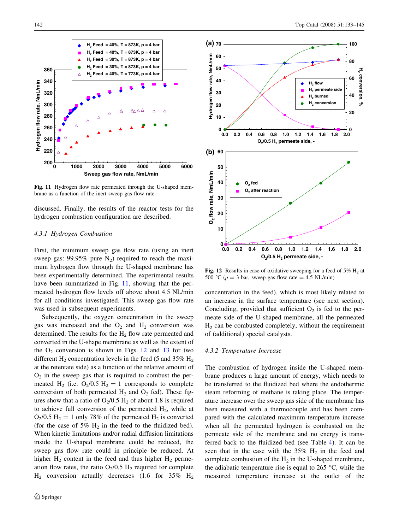

Fig. 11 Hydrogen flow rate permeated through the U-shaped membrane as a function of the inert sweep gas flow rate

discussed. Finally, the results of the reactor tests for the hydrogen combustion configuration are described.

## 4.3.1 Hydrogen Combustion

First, the minimum sweep gas flow rate (using an inert sweep gas:  $99.95\%$  pure N<sub>2</sub>) required to reach the maximum hydrogen flow through the U-shaped membrane has been experimentally determined. The experimental results have been summarized in Fig. 11, showing that the permeated hydrogen flow levels off above about 4.5 NL/min for all conditions investigated. This sweep gas flow rate was used in subsequent experiments.

Subsequently, the oxygen concentration in the sweep gas was increased and the  $O_2$  and  $H_2$  conversion was determined. The results for the  $H<sub>2</sub>$  flow rate permeated and converted in the U-shape membrane as well as the extent of the  $O_2$  conversion is shown in Figs. 12 and [13](#page-10-0) for two different  $H_2$  concentration levels in the feed (5 and 35%  $H_2$ ) at the retentate side) as a function of the relative amount of  $O<sub>2</sub>$  in the sweep gas that is required to combust the permeated H<sub>2</sub> (i.e.  $O_2/0.5$  H<sub>2</sub> = 1 corresponds to complete conversion of both permeated  $H_2$  and  $O_2$  fed). These figures show that a ratio of  $O_2/0.5$  H<sub>2</sub> of about 1.8 is required to achieve full conversion of the permeated  $H_2$ , while at  $O_2/0.5$  H<sub>2</sub> = 1 only 78% of the permeated H<sub>2</sub> is converted (for the case of 5%  $H_2$  in the feed to the fluidized bed). When kinetic limitations and/or radial diffusion limitations inside the U-shaped membrane could be reduced, the sweep gas flow rate could in principle be reduced. At higher  $H_2$  content in the feed and thus higher  $H_2$  permeation flow rates, the ratio  $O_2/0.5$  H<sub>2</sub> required for complete  $H<sub>2</sub>$  conversion actually decreases (1.6 for 35%  $H<sub>2</sub>$ 



Fig. 12 Results in case of oxidative sweeping for a feed of 5%  $H_2$  at 500 °C ( $p = 3$  bar, sweep gas flow rate = 4.5 NL/min)

concentration in the feed), which is most likely related to an increase in the surface temperature (see next section). Concluding, provided that sufficient  $O_2$  is fed to the permeate side of the U-shaped membrane, all the permeated  $H<sub>2</sub>$  can be combusted completely, without the requirement of (additional) special catalysts.

#### 4.3.2 Temperature Increase

The combustion of hydrogen inside the U-shaped membrane produces a large amount of energy, which needs to be transferred to the fluidized bed where the endothermic steam reforming of methane is taking place. The temperature increase over the sweep gas side of the membrane has been measured with a thermocouple and has been compared with the calculated maximum temperature increase when all the permeated hydrogen is combusted on the permeate side of the membrane and no energy is transferred back to the fluidized bed (see Table [4\)](#page-10-0). It can be seen that in the case with the  $35\%$  H<sub>2</sub> in the feed and complete combustion of the  $H_2$  in the U-shaped membrane, the adiabatic temperature rise is equal to 265  $\degree$ C, while the measured temperature increase at the outlet of the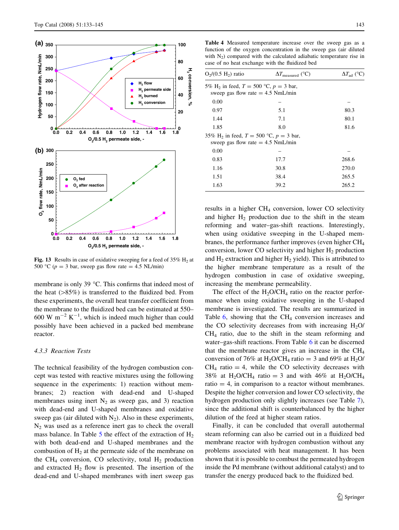<span id="page-10-0"></span>

Fig. 13 Results in case of oxidative sweeping for a feed of  $35\%$  H<sub>2</sub> at 500 °C ( $p = 3$  bar, sweep gas flow rate = 4.5 NL/min)

membrane is only 39  $^{\circ}$ C. This confirms that indeed most of the heat  $($ >85%) is transferred to the fluidized bed. From these experiments, the overall heat transfer coefficient from the membrane to the fluidized bed can be estimated at 550– 600 W  $m^{-2}$  K<sup>-1</sup>, which is indeed much higher than could possibly have been achieved in a packed bed membrane reactor.

#### 4.3.3 Reaction Tests

The technical feasibility of the hydrogen combustion concept was tested with reactive mixtures using the following sequence in the experiments: 1) reaction without membranes; 2) reaction with dead-end and U-shaped membranes using inert  $N_2$  as sweep gas, and 3) reaction with dead-end and U-shaped membranes and oxidative sweep gas (air diluted with  $N_2$ ). Also in these experiments,  $N_2$  was used as a reference inert gas to check the overall mass balance. In Table  $5$  the effect of the extraction of  $H_2$ with both dead-end and U-shaped membranes and the combustion of  $H_2$  at the permeate side of the membrane on the CH<sub>4</sub> conversion, CO selectivity, total  $H_2$  production and extracted  $H_2$  flow is presented. The insertion of the dead-end and U-shaped membranes with inert sweep gas

Table 4 Measured temperature increase over the sweep gas as a function of the oxygen concentration in the sweep gas (air diluted with  $N_2$ ) compared with the calculated adiabatic temperature rise in case of no heat exchange with the fluidized bed

| $O_2/(0.5 H_2)$ ratio                                                                         | $\Delta T_{\text{measured}}$ (°C) | $\Delta T_{\rm ad}$ (°C) |
|-----------------------------------------------------------------------------------------------|-----------------------------------|--------------------------|
| 5% H <sub>2</sub> in feed, $T = 500$ °C, $p = 3$ bar,<br>sweep gas flow rate $= 4.5$ NmL/min  |                                   |                          |
| 0.00                                                                                          |                                   |                          |
| 0.97                                                                                          | 5.1                               | 80.3                     |
| 1.44                                                                                          | 7.1                               | 80.1                     |
| 1.85                                                                                          | 8.0                               | 81.6                     |
| 35% H <sub>2</sub> in feed, $T = 500$ °C, $p = 3$ bar,<br>sweep gas flow rate $= 4.5$ NmL/min |                                   |                          |
| 0.00                                                                                          |                                   |                          |
| 0.83                                                                                          | 17.7                              | 268.6                    |
| 1.16                                                                                          | 30.8                              | 270.0                    |
| 1.51                                                                                          | 38.4                              | 265.5                    |
| 1.63                                                                                          | 39.2                              | 265.2                    |

results in a higher  $CH<sub>4</sub>$  conversion, lower CO selectivity and higher  $H_2$  production due to the shift in the steam reforming and water–gas-shift reactions. Interestingly, when using oxidative sweeping in the U-shaped membranes, the performance further improves (even higher  $CH<sub>4</sub>$ conversion, lower CO selectivity and higher  $H_2$  production and  $H_2$  extraction and higher  $H_2$  yield). This is attributed to the higher membrane temperature as a result of the hydrogen combustion in case of oxidative sweeping, increasing the membrane permeability.

The effect of the  $H_2O/CH_4$  ratio on the reactor performance when using oxidative sweeping in the U-shaped membrane is investigated. The results are summarized in Table  $6$ , showing that the CH<sub>4</sub> conversion increases and the CO selectivity decreases from with increasing  $H_2O$ CH4 ratio, due to the shift in the steam reforming and water–gas-shift reactions. From Table [6](#page-11-0) it can be discerned that the membrane reactor gives an increase in the  $CH<sub>4</sub>$ conversion of 76% at H<sub>2</sub>O/CH<sub>4</sub> ratio = 3 and 69% at H<sub>2</sub>O/  $CH<sub>4</sub>$  ratio = 4, while the CO selectivity decreases with 38% at H<sub>2</sub>O/CH<sub>4</sub> ratio = 3 and with 46% at H<sub>2</sub>O/CH<sub>4</sub> ratio  $= 4$ , in comparison to a reactor without membranes. Despite the higher conversion and lower CO selectivity, the hydrogen production only slightly increases (see Table [7](#page-11-0)), since the additional shift is counterbalanced by the higher dilution of the feed at higher steam ratios.

Finally, it can be concluded that overall autothermal steam reforming can also be carried out in a fluidized bed membrane reactor with hydrogen combustion without any problems associated with heat management. It has been shown that it is possible to combust the permeated hydrogen inside the Pd membrane (without additional catalyst) and to transfer the energy produced back to the fluidized bed.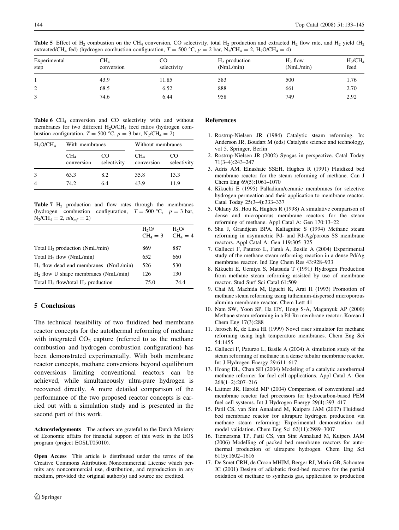<span id="page-11-0"></span>Table 5 Effect of H<sub>2</sub> combustion on the CH<sub>4</sub> conversion, CO selectivity, total H<sub>2</sub> production and extracted H<sub>2</sub> flow rate, and H<sub>2</sub> yield (H<sub>2</sub> extracted/CH<sub>4</sub> fed) (hydrogen combustion configuration,  $T = 500 \degree C$ ,  $p = 2$  bar, N<sub>2</sub>/CH<sub>4</sub> = 2, H<sub>2</sub>O/CH<sub>4</sub> = 4)

| Experimental<br>step | $CH_4$<br>conversion | CO<br>selectivity | $H_2$ production<br>(NmL/min) | $H_2$ flow<br>(NmL/min) | $H_2$ /C $H_4$<br>feed |
|----------------------|----------------------|-------------------|-------------------------------|-------------------------|------------------------|
|                      | 43.9                 | 11.85             | 583                           | 500                     | 1.76                   |
| 2                    | 68.5                 | 6.52              | 888                           | 661                     | 2.70                   |
| 3                    | 74.6                 | 6.44              | 958                           | 749                     | 2.92                   |

Table 6  $CH<sub>4</sub>$  conversion and CO selectivity with and without membranes for two different  $H_2O/CH_4$  feed ratios (hydrogen combustion configuration,  $T = 500$  °C,  $p = 3$  bar, N<sub>2</sub>/CH<sub>4</sub> = 2)

| H <sub>2</sub> O/CH <sub>4</sub> | With membranes       |                   | Without membranes             |                   |
|----------------------------------|----------------------|-------------------|-------------------------------|-------------------|
|                                  | $CH_4$<br>conversion | CO<br>selectivity | CH <sub>4</sub><br>conversion | CO<br>selectivity |
|                                  | 63.3                 | 8.2               | 35.8                          | 13.3              |
|                                  | 74.2                 | 64                | 43.9                          | 11.9              |

Table 7  $H_2$  production and flow rates through the membranes (hydrogen combustion configuration,  $T = 500$  °C,  $p = 3$  bar,  $N_2/CH_4 = 2$ ,  $u/u_{mf} = 2$ )

|                                         | H <sub>2</sub> O/<br>$CH4 = 3$ | H <sub>2</sub> O/<br>$CH4 = 4$ |
|-----------------------------------------|--------------------------------|--------------------------------|
| Total $H_2$ production (NmL/min)        | 869                            | 887                            |
| Total $H_2$ flow (NmL/min)              | 652                            | 660                            |
| $H2$ flow dead end membranes (NmL/min)  | 526                            | 530                            |
| $H2$ flow U shape membranes (NmL/min)   | 126                            | 130                            |
| Total $H_2$ flow/total $H_2$ production | 75.0                           | 74.4                           |
|                                         |                                |                                |

## 5 Conclusions

The technical feasibility of two fluidized bed membrane reactor concepts for the autothermal reforming of methane with integrated  $CO<sub>2</sub>$  capture (referred to as the methane combustion and hydrogen combustion configuration) has been demonstrated experimentally. With both membrane reactor concepts, methane conversions beyond equilibrium conversions limiting conventional reactors can be achieved, while simultaneously ultra-pure hydrogen is recovered directly. A more detailed comparison of the performance of the two proposed reactor concepts is carried out with a simulation study and is presented in the second part of this work.

Acknowledgements The authors are grateful to the Dutch Ministry of Economic affairs for financial support of this work in the EOS program (project EOSLT05010).

Open Access This article is distributed under the terms of the Creative Commons Attribution Noncommercial License which permits any noncommercial use, distribution, and reproduction in any medium, provided the original author(s) and source are credited.

#### References

- 1. Rostrup-Nielsen JR (1984) Catalytic steam reforming. In: Anderson JR, Boudart M (eds) Catalysis science and technology, vol 5. Springer, Berlin
- 2. Rostrup-Nielsen JR (2002) Syngas in perspective. Catal Today 71(3–4):243–247
- 3. Adris AM, Elnashaie SSEH, Hughes R (1991) Fluidized bed membrane reactor for the steam reforming of methane. Can J Chem Eng 69(5):1061–1070
- 4. Kikuchi E (1995) Palladium/ceramic membranes for selective hydrogen permeation and their application to membrane reactor. Catal Today 25(3–4):333–337
- 5. Oklany JS, Hou K, Hughes R (1998) A simulative comparison of dense and microporous membrane reactors for the steam reforming of methane. Appl Catal A: Gen 170:13–22
- 6. Shu J, Grandjean BPA, Kaliaguine S (1994) Methane steam reforming in asymmetric Pd- and Pd-Ag/porous SS membrane reactors. Appl Catal A: Gen 119:305–325
- 7. Gallucci F, Paturzo L, Fama` A, Basile A (2004) Experimental study of the methane steam reforming reaction in a dense Pd/Ag membrane reactor. Ind Eng Chem Res 43:928–933
- 8. Kikuchi E, Uemiya S, Matsuda T (1991) Hydrogen Production from methane steam reforming assisted by use of membrane reactor. Stud Surf Sci Catal 61:509
- 9. Chai M, Machida M, Eguchi K, Arai H (1993) Promotion of methane steam reforming using tuthenium-dispersed microporous alumina membrane reactor. Chem Lett 41
- 10. Nam SW, Yoon SP, Ha HY, Hong S-A, Maganyuk AP (2000) Methane steam reforming in a Pd-Ru membrane reactor. Korean J Chem Eng 17(3):288
- 11. Jarosch K, de Lasa HI (1999) Novel riser simulator for methane reforming using high temperature membranes. Chem Eng Sci 54:1455
- 12. Gallucci F, Paturzo L, Basile A (2004) A simulation study of the steam reforming of methane in a dense tubular membrane reactor. Int J Hydrogen Energy 29:611–617
- 13. Hoang DL, Chan SH (2004) Modeling of a catalytic autothermal methane reformer for fuel cell applications. Appl Catal A: Gen 268(1–2):207–216
- 14. Lattner JR, Harold MP (2004) Comparison of conventional and membrane reactor fuel processors for hydrocarbon-based PEM fuel cell systems. Int J Hydrogen Energy 29(4):393–417
- 15. Patil CS, van Sint Annaland M, Kuipers JAM (2007) Fluidised bed membrane reactor for ultrapure hydrogen production via methane steam reforming: Experimental demonstration and model validation. Chem Eng Sci 62(11):2989–3007
- 16. Tiemersma TP, Patil CS, van Sint Annaland M, Kuipers JAM (2006) Modelling of packed bed membrane reactors for autothermal production of ultrapure hydrogen. Chem Eng Sci 61(5):1602–1616
- 17. De Smet CRH, de Croon MHJM, Berger RJ, Marin GB, Schouten JC (2001) Design of adiabatic fixed-bed reactors for the partial oxidation of methane to synthesis gas, application to production